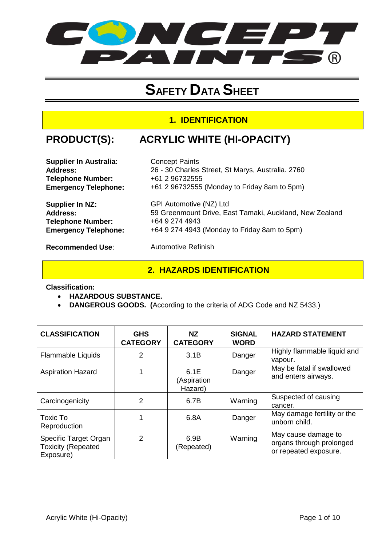

# **SAFETY DATA SHEET**

## **1. IDENTIFICATION**

## **PRODUCT(S): ACRYLIC WHITE (HI-OPACITY)**

| <b>Supplier In Australia:</b> | <b>Concept Paints</b>                                   |
|-------------------------------|---------------------------------------------------------|
| <b>Address:</b>               | 26 - 30 Charles Street, St Marys, Australia. 2760       |
| <b>Telephone Number:</b>      | +61 2 96732555                                          |
| <b>Emergency Telephone:</b>   | +61 2 96732555 (Monday to Friday 8am to 5pm)            |
| Supplier In NZ:               | GPI Automotive (NZ) Ltd                                 |
| <b>Address:</b>               | 59 Greenmount Drive, East Tamaki, Auckland, New Zealand |
| <b>Telephone Number:</b>      | +64 9 274 4943                                          |
| <b>Emergency Telephone:</b>   | +64 9 274 4943 (Monday to Friday 8am to 5pm)            |
| <b>Recommended Use:</b>       | <b>Automotive Refinish</b>                              |

## **2. HAZARDS IDENTIFICATION**

**Classification:** 

- **HAZARDOUS SUBSTANCE.**
- **DANGEROUS GOODS. (**According to the criteria of ADG Code and NZ 5433.)

| <b>CLASSIFICATION</b>                                           | <b>GHS</b><br><b>CATEGORY</b> | NZ.<br><b>CATEGORY</b>         | <b>SIGNAL</b><br><b>WORD</b> | <b>HAZARD STATEMENT</b>                                                  |
|-----------------------------------------------------------------|-------------------------------|--------------------------------|------------------------------|--------------------------------------------------------------------------|
| <b>Flammable Liquids</b>                                        | 2                             | 3.1B                           | Danger                       | Highly flammable liquid and<br>vapour.                                   |
| <b>Aspiration Hazard</b>                                        |                               | 6.1E<br>(Aspiration<br>Hazard) | Danger                       | May be fatal if swallowed<br>and enters airways.                         |
| Carcinogenicity                                                 | $\mathcal{P}$                 | 6.7B                           | Warning                      | Suspected of causing<br>cancer.                                          |
| Toxic To<br>Reproduction                                        |                               | 6.8A                           | Danger                       | May damage fertility or the<br>unborn child.                             |
| Specific Target Organ<br><b>Toxicity (Repeated</b><br>Exposure) | $\mathcal{P}$                 | 6.9B<br>(Repeated)             | Warning                      | May cause damage to<br>organs through prolonged<br>or repeated exposure. |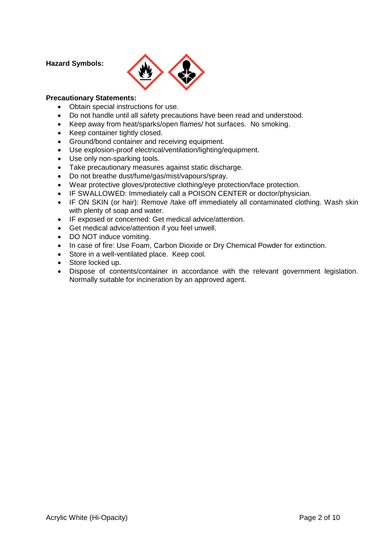#### **Hazard Symbols:**



#### **Precautionary Statements:**

- Obtain special instructions for use.
- Do not handle until all safety precautions have been read and understood.
- Keep away from heat/sparks/open flames/ hot surfaces. No smoking.
- Keep container tightly closed.
- Ground/bond container and receiving equipment.
- Use explosion-proof electrical/ventilation/lighting/equipment.
- Use only non-sparking tools.
- Take precautionary measures against static discharge.
- Do not breathe dust/fume/gas/mist/vapours/spray.
- Wear protective gloves/protective clothing/eye protection/face protection.
- IF SWALLOWED: Immediately call a POISON CENTER or doctor/physician.
- IF ON SKIN (or hair): Remove /take off immediately all contaminated clothing. Wash skin with plenty of soap and water.
- IF exposed or concerned: Get medical advice/attention.
- Get medical advice/attention if you feel unwell.
- DO NOT induce vomiting.
- In case of fire: Use Foam, Carbon Dioxide or Dry Chemical Powder for extinction.
- Store in a well-ventilated place. Keep cool.
- Store locked up.
- Dispose of contents/container in accordance with the relevant government legislation. Normally suitable for incineration by an approved agent.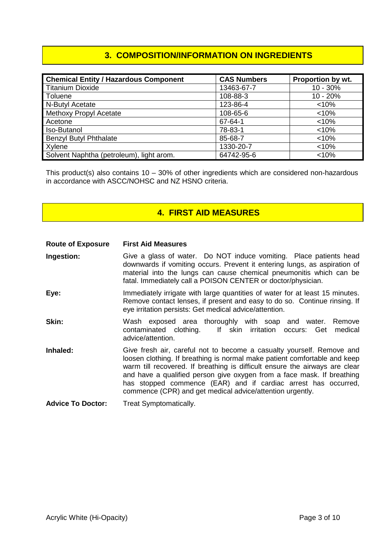## **3. COMPOSITION/INFORMATION ON INGREDIENTS**

| <b>Chemical Entity / Hazardous Component</b> | <b>CAS Numbers</b> | Proportion by wt. |
|----------------------------------------------|--------------------|-------------------|
| <b>Titanium Dioxide</b>                      | 13463-67-7         | $10 - 30%$        |
| Toluene                                      | 108-88-3           | $10 - 20%$        |
| N-Butyl Acetate                              | 123-86-4           | < 10%             |
| Methoxy Propyl Acetate                       | 108-65-6           | < 10%             |
| Acetone                                      | 67-64-1            | < 10%             |
| Iso-Butanol                                  | 78-83-1            | < 10%             |
| <b>Benzyl Butyl Phthalate</b>                | 85-68-7            | < 10%             |
| Xylene                                       | 1330-20-7          | < 10%             |
| Solvent Naphtha (petroleum), light arom.     | 64742-95-6         | < 10%             |

This product(s) also contains 10 – 30% of other ingredients which are considered non-hazardous in accordance with ASCC/NOHSC and NZ HSNO criteria.

## **4. FIRST AID MEASURES**

#### **Route of Exposure First Aid Measures**

- **Ingestion:** Give a glass of water. Do NOT induce vomiting. Place patients head downwards if vomiting occurs. Prevent it entering lungs, as aspiration of material into the lungs can cause chemical pneumonitis which can be fatal. Immediately call a POISON CENTER or doctor/physician.
- **Eye:** Immediately irrigate with large quantities of water for at least 15 minutes. Remove contact lenses, if present and easy to do so. Continue rinsing. If eye irritation persists: Get medical advice/attention.
- **Skin:** Wash exposed area thoroughly with soap and water. Remove variable water was contaminated clothing. If skin irritation occurs: Get medical If skin irritation occurs: Get medical advice/attention.
- **Inhaled:** Give fresh air, careful not to become a casualty yourself. Remove and loosen clothing. If breathing is normal make patient comfortable and keep warm till recovered. If breathing is difficult ensure the airways are clear and have a qualified person give oxygen from a face mask. If breathing has stopped commence (EAR) and if cardiac arrest has occurred, commence (CPR) and get medical advice/attention urgently.
- **Advice To Doctor:** Treat Symptomatically.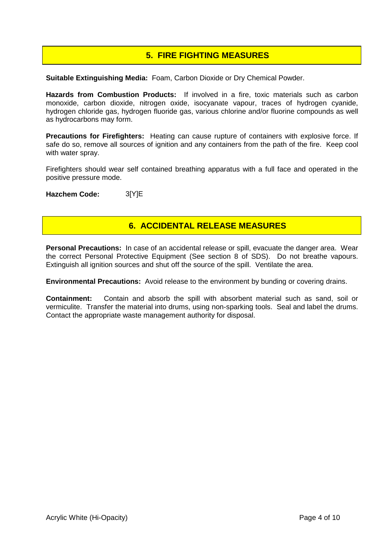## **5. FIRE FIGHTING MEASURES**

**Suitable Extinguishing Media:** Foam, Carbon Dioxide or Dry Chemical Powder.

**Hazards from Combustion Products:** If involved in a fire, toxic materials such as carbon monoxide, carbon dioxide, nitrogen oxide, isocyanate vapour, traces of hydrogen cyanide, hydrogen chloride gas, hydrogen fluoride gas, various chlorine and/or fluorine compounds as well as hydrocarbons may form.

**Precautions for Firefighters:** Heating can cause rupture of containers with explosive force. If safe do so, remove all sources of ignition and any containers from the path of the fire. Keep cool with water spray.

Firefighters should wear self contained breathing apparatus with a full face and operated in the positive pressure mode.

**Hazchem Code:** 3[Y]E

#### **6. ACCIDENTAL RELEASE MEASURES**

**Personal Precautions:** In case of an accidental release or spill, evacuate the danger area. Wear the correct Personal Protective Equipment (See section 8 of SDS). Do not breathe vapours. Extinguish all ignition sources and shut off the source of the spill. Ventilate the area.

**Environmental Precautions:** Avoid release to the environment by bunding or covering drains.

**Containment:** Contain and absorb the spill with absorbent material such as sand, soil or vermiculite. Transfer the material into drums, using non-sparking tools. Seal and label the drums. Contact the appropriate waste management authority for disposal.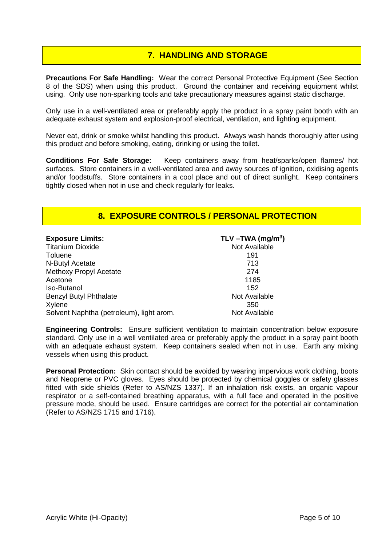## **7. HANDLING AND STORAGE**

**Precautions For Safe Handling:** Wear the correct Personal Protective Equipment (See Section 8 of the SDS) when using this product. Ground the container and receiving equipment whilst using. Only use non-sparking tools and take precautionary measures against static discharge.

Only use in a well-ventilated area or preferably apply the product in a spray paint booth with an adequate exhaust system and explosion-proof electrical, ventilation, and lighting equipment.

Never eat, drink or smoke whilst handling this product. Always wash hands thoroughly after using this product and before smoking, eating, drinking or using the toilet.

**Conditions For Safe Storage:** Keep containers away from heat/sparks/open flames/ hot surfaces. Store containers in a well-ventilated area and away sources of ignition, oxidising agents and/or foodstuffs. Store containers in a cool place and out of direct sunlight. Keep containers tightly closed when not in use and check regularly for leaks.

#### **8. EXPOSURE CONTROLS / PERSONAL PROTECTION**

| <b>Exposure Limits:</b>                  | TLV $-TWA$ (mg/m <sup>3</sup> ) |
|------------------------------------------|---------------------------------|
| <b>Titanium Dioxide</b>                  | Not Available                   |
| Toluene                                  | 191                             |
| N-Butyl Acetate                          | 713                             |
| Methoxy Propyl Acetate                   | 274                             |
| Acetone                                  | 1185                            |
| <b>Iso-Butanol</b>                       | 152                             |
| <b>Benzyl Butyl Phthalate</b>            | Not Available                   |
| Xylene                                   | 350                             |
| Solvent Naphtha (petroleum), light arom. | Not Available                   |

**Engineering Controls:** Ensure sufficient ventilation to maintain concentration below exposure standard. Only use in a well ventilated area or preferably apply the product in a spray paint booth with an adequate exhaust system. Keep containers sealed when not in use. Earth any mixing vessels when using this product.

**Personal Protection:** Skin contact should be avoided by wearing impervious work clothing, boots and Neoprene or PVC gloves. Eyes should be protected by chemical goggles or safety glasses fitted with side shields (Refer to AS/NZS 1337). If an inhalation risk exists, an organic vapour respirator or a self-contained breathing apparatus, with a full face and operated in the positive pressure mode, should be used. Ensure cartridges are correct for the potential air contamination (Refer to AS/NZS 1715 and 1716).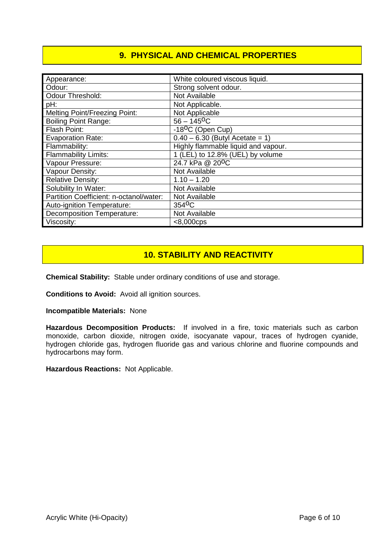## **9. PHYSICAL AND CHEMICAL PROPERTIES**

| Appearance:                             | White coloured viscous liquid.      |
|-----------------------------------------|-------------------------------------|
| Odour:                                  | Strong solvent odour.               |
| <b>Odour Threshold:</b>                 | Not Available                       |
| pH:                                     | Not Applicable.                     |
| <b>Melting Point/Freezing Point:</b>    | Not Applicable                      |
| <b>Boiling Point Range:</b>             | $56 - 145$ <sup>O</sup> C           |
| Flash Point:                            | -18 <sup>o</sup> C (Open Cup)       |
| <b>Evaporation Rate:</b>                | $0.40 - 6.30$ (Butyl Acetate = 1)   |
| Flammability:                           | Highly flammable liquid and vapour. |
| <b>Flammability Limits:</b>             | 1 (LEL) to 12.8% (UEL) by volume    |
| Vapour Pressure:                        | 24.7 kPa @ 20 <sup>o</sup> C        |
| Vapour Density:                         | Not Available                       |
| <b>Relative Density:</b>                | $1.10 - 1.20$                       |
| Solubility In Water:                    | Not Available                       |
| Partition Coefficient: n-octanol/water: | Not Available                       |
| Auto-ignition Temperature:              | 354 <sup>o</sup> C                  |
| <b>Decomposition Temperature:</b>       | Not Available                       |
| Viscosity:                              | $< 8,000$ cps                       |

#### **10. STABILITY AND REACTIVITY**

**Chemical Stability:** Stable under ordinary conditions of use and storage.

**Conditions to Avoid:** Avoid all ignition sources.

**Incompatible Materials:** None

**Hazardous Decomposition Products:** If involved in a fire, toxic materials such as carbon monoxide, carbon dioxide, nitrogen oxide, isocyanate vapour, traces of hydrogen cyanide, hydrogen chloride gas, hydrogen fluoride gas and various chlorine and fluorine compounds and hydrocarbons may form.

**Hazardous Reactions:** Not Applicable.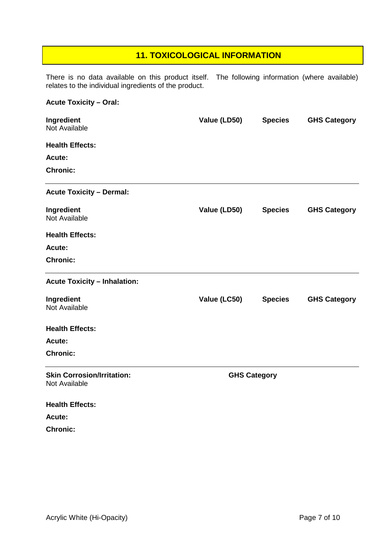## **11. TOXICOLOGICAL INFORMATION**

There is no data available on this product itself. The following information (where available) relates to the individual ingredients of the product.

#### **Acute Toxicity – Oral:**

| Ingredient<br>Not Available                        | Value (LD50)        | <b>Species</b> | <b>GHS Category</b> |
|----------------------------------------------------|---------------------|----------------|---------------------|
| <b>Health Effects:</b>                             |                     |                |                     |
| Acute:                                             |                     |                |                     |
| <b>Chronic:</b>                                    |                     |                |                     |
| <b>Acute Toxicity - Dermal:</b>                    |                     |                |                     |
| Ingredient<br>Not Available                        | Value (LD50)        | <b>Species</b> | <b>GHS Category</b> |
| <b>Health Effects:</b>                             |                     |                |                     |
| Acute:                                             |                     |                |                     |
| <b>Chronic:</b>                                    |                     |                |                     |
| <b>Acute Toxicity - Inhalation:</b>                |                     |                |                     |
| Ingredient<br><b>Not Available</b>                 | Value (LC50)        | <b>Species</b> | <b>GHS Category</b> |
| <b>Health Effects:</b>                             |                     |                |                     |
| Acute:                                             |                     |                |                     |
| <b>Chronic:</b>                                    |                     |                |                     |
| <b>Skin Corrosion/Irritation:</b><br>Not Available | <b>GHS Category</b> |                |                     |
| <b>Health Effects:</b>                             |                     |                |                     |
| Acute:                                             |                     |                |                     |
| <b>Chronic:</b>                                    |                     |                |                     |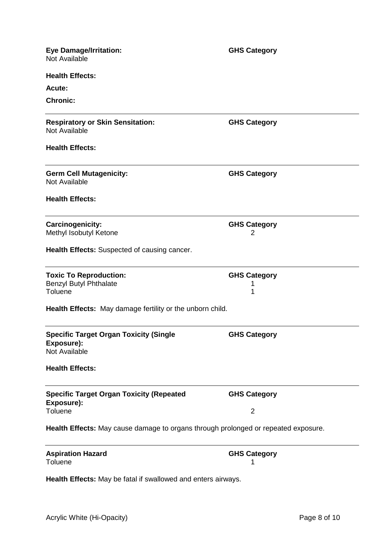| <b>Eye Damage/Irritation:</b><br>Not Available                                     | <b>GHS Category</b>      |  |  |
|------------------------------------------------------------------------------------|--------------------------|--|--|
| <b>Health Effects:</b>                                                             |                          |  |  |
| Acute:                                                                             |                          |  |  |
| <b>Chronic:</b>                                                                    |                          |  |  |
| <b>Respiratory or Skin Sensitation:</b><br>Not Available                           | <b>GHS Category</b>      |  |  |
| <b>Health Effects:</b>                                                             |                          |  |  |
| <b>Germ Cell Mutagenicity:</b><br>Not Available                                    | <b>GHS Category</b>      |  |  |
| <b>Health Effects:</b>                                                             |                          |  |  |
| <b>Carcinogenicity:</b><br>Methyl Isobutyl Ketone                                  | <b>GHS Category</b><br>2 |  |  |
| Health Effects: Suspected of causing cancer.                                       |                          |  |  |
| <b>Toxic To Reproduction:</b><br>Benzyl Butyl Phthalate<br>Toluene                 | <b>GHS Category</b><br>1 |  |  |
| Health Effects: May damage fertility or the unborn child.                          |                          |  |  |
| <b>Specific Target Organ Toxicity (Single</b><br>Exposure):<br>Not Available       | <b>GHS Category</b>      |  |  |
| <b>Health Effects:</b>                                                             |                          |  |  |
| <b>Specific Target Organ Toxicity (Repeated</b><br>Exposure):                      | <b>GHS Category</b>      |  |  |
| Toluene                                                                            | $\overline{2}$           |  |  |
| Health Effects: May cause damage to organs through prolonged or repeated exposure. |                          |  |  |
| <b>Aspiration Hazard</b><br>Toluene                                                | <b>GHS Category</b>      |  |  |
| Health Effects: May be fatal if swallowed and enters airways.                      |                          |  |  |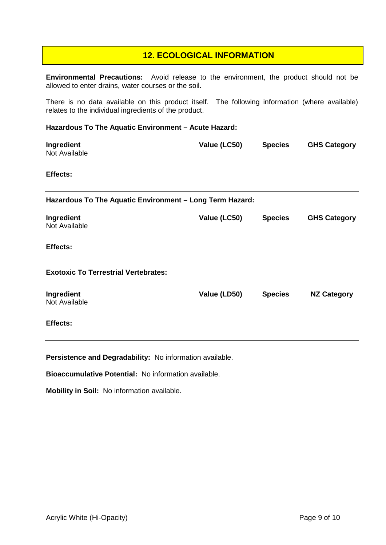#### **12. ECOLOGICAL INFORMATION**

**Environmental Precautions:** Avoid release to the environment, the product should not be allowed to enter drains, water courses or the soil.

There is no data available on this product itself. The following information (where available) relates to the individual ingredients of the product.

#### **Hazardous To The Aquatic Environment – Acute Hazard:**

| Ingredient<br>Not Available                              | Value (LC50) | <b>Species</b> | <b>GHS Category</b> |
|----------------------------------------------------------|--------------|----------------|---------------------|
| Effects:                                                 |              |                |                     |
| Hazardous To The Aquatic Environment - Long Term Hazard: |              |                |                     |
| Ingredient<br>Not Available                              | Value (LC50) | <b>Species</b> | <b>GHS Category</b> |
| <b>Effects:</b>                                          |              |                |                     |
| <b>Exotoxic To Terrestrial Vertebrates:</b>              |              |                |                     |
| Ingredient<br>Not Available                              | Value (LD50) | <b>Species</b> | <b>NZ Category</b>  |
| Effects:                                                 |              |                |                     |

**Persistence and Degradability:** No information available.

**Bioaccumulative Potential:** No information available.

**Mobility in Soil:** No information available.